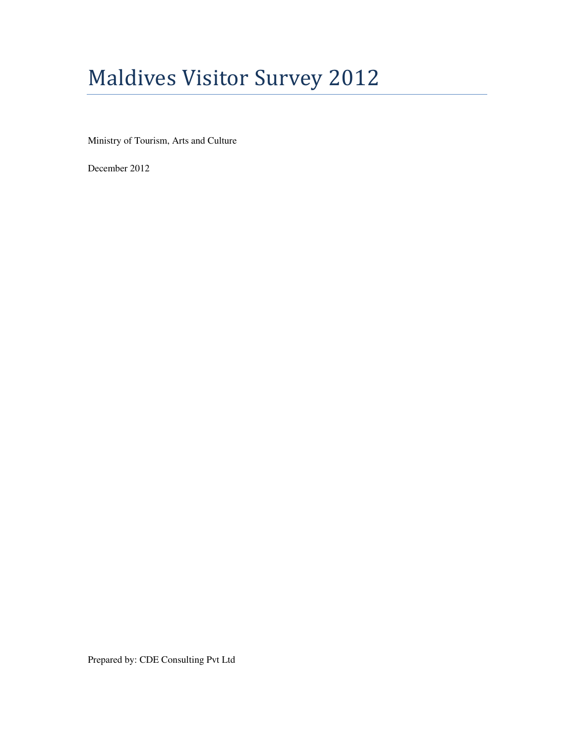# Maldives Visitor Survey 2012

Ministry of Tourism, Arts and Culture

December 2012

Prepared by: CDE Consulting Pvt Ltd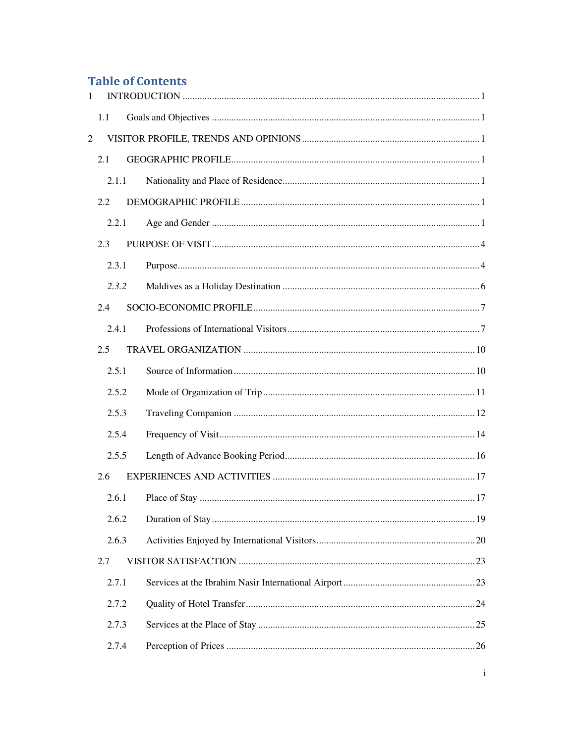# **Table of Contents**

| $\mathbf{1}$ |  |
|--------------|--|
| 1.1          |  |
| 2            |  |
| 2.1          |  |
| 2.1.1        |  |
| 2.2          |  |
| 2.2.1        |  |
| 2.3          |  |
| 2.3.1        |  |
| 2.3.2        |  |
| 2.4          |  |
| 2.4.1        |  |
| 2.5          |  |
| 2.5.1        |  |
| 2.5.2        |  |
| 2.5.3        |  |
| 2.5.4        |  |
| 2.5.5        |  |
| 2.6          |  |
| 2.6.1        |  |
| 2.6.2        |  |
| 2.6.3        |  |
| 2.7          |  |
| 2.7.1        |  |
| 2.7.2        |  |
| 2.7.3        |  |
| 2.7.4        |  |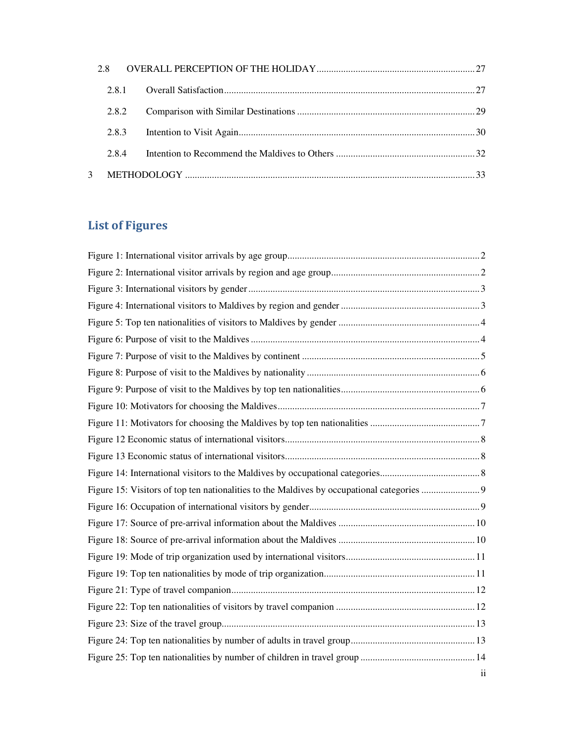| 2.8   |  |
|-------|--|
| 2.8.1 |  |
| 2.8.2 |  |
|       |  |
| 284   |  |
|       |  |

# List of Figures

| ii |
|----|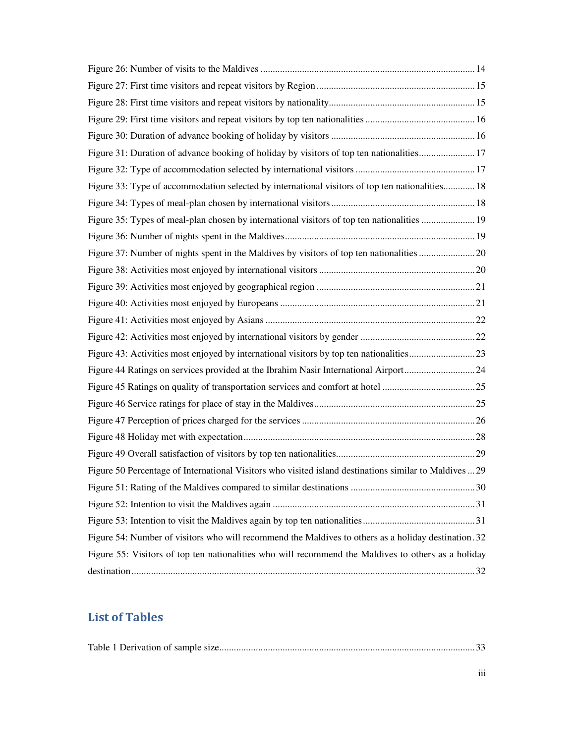| Figure 31: Duration of advance booking of holiday by visitors of top ten nationalities 17              |  |
|--------------------------------------------------------------------------------------------------------|--|
|                                                                                                        |  |
| Figure 33: Type of accommodation selected by international visitors of top ten nationalities 18        |  |
|                                                                                                        |  |
| Figure 35: Types of meal-plan chosen by international visitors of top ten nationalities  19            |  |
|                                                                                                        |  |
| Figure 37: Number of nights spent in the Maldives by visitors of top ten nationalities 20              |  |
|                                                                                                        |  |
|                                                                                                        |  |
|                                                                                                        |  |
|                                                                                                        |  |
|                                                                                                        |  |
|                                                                                                        |  |
| Figure 44 Ratings on services provided at the Ibrahim Nasir International Airport24                    |  |
|                                                                                                        |  |
|                                                                                                        |  |
|                                                                                                        |  |
|                                                                                                        |  |
|                                                                                                        |  |
| Figure 50 Percentage of International Visitors who visited island destinations similar to Maldives  29 |  |
|                                                                                                        |  |
|                                                                                                        |  |
|                                                                                                        |  |
| Figure 54: Number of visitors who will recommend the Maldives to others as a holiday destination. 32   |  |
| Figure 55: Visitors of top ten nationalities who will recommend the Maldives to others as a holiday    |  |
|                                                                                                        |  |

# List of Tables

|--|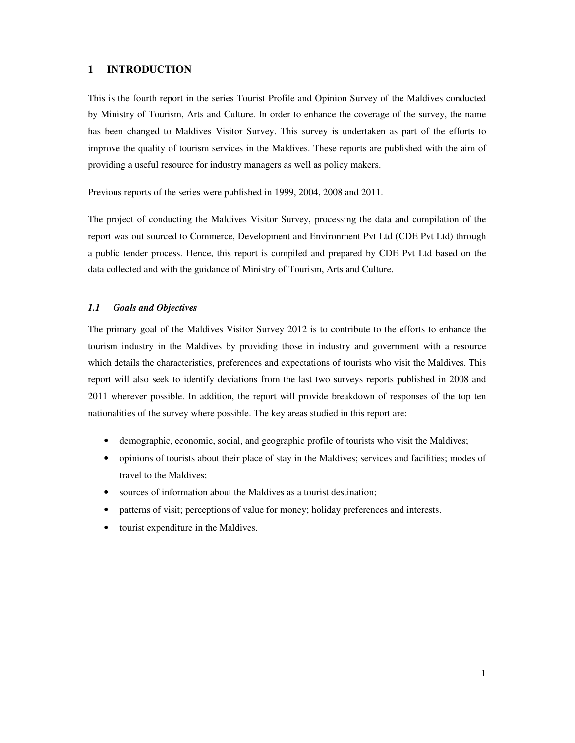# **1 INTRODUCTION**

This is the fourth report in the series Tourist Profile and Opinion Survey of the Maldives conducted by Ministry of Tourism, Arts and Culture. In order to enhance the coverage of the survey, the name has been changed to Maldives Visitor Survey. This survey is undertaken as part of the efforts to improve the quality of tourism services in the Maldives. These reports are published with the aim of providing a useful resource for industry managers as well as policy makers.

Previous reports of the series were published in 1999, 2004, 2008 and 2011.

The project of conducting the Maldives Visitor Survey, processing the data and compilation of the report was out sourced to Commerce, Development and Environment Pvt Ltd (CDE Pvt Ltd) through a public tender process. Hence, this report is compiled and prepared by CDE Pvt Ltd based on the data collected and with the guidance of Ministry of Tourism, Arts and Culture.

# *1.1 Goals and Objectives*

The primary goal of the Maldives Visitor Survey 2012 is to contribute to the efforts to enhance the tourism industry in the Maldives by providing those in industry and government with a resource which details the characteristics, preferences and expectations of tourists who visit the Maldives. This report will also seek to identify deviations from the last two surveys reports published in 2008 and 2011 wherever possible. In addition, the report will provide breakdown of responses of the top ten nationalities of the survey where possible. The key areas studied in this report are:

- demographic, economic, social, and geographic profile of tourists who visit the Maldives;
- opinions of tourists about their place of stay in the Maldives; services and facilities; modes of travel to the Maldives;
- sources of information about the Maldives as a tourist destination;
- patterns of visit; perceptions of value for money; holiday preferences and interests.
- tourist expenditure in the Maldives.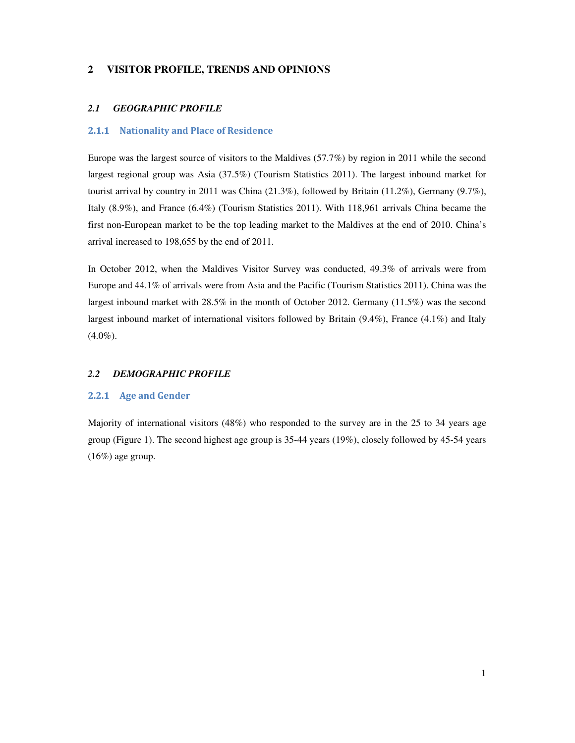# **2 VISITOR PROFILE, TRENDS AND OPINIONS**

# *2.1 GEOGRAPHIC PROFILE*

#### 2.1.1 Nationality and Place of Residence

Europe was the largest source of visitors to the Maldives (57.7%) by region in 2011 while the second largest regional group was Asia (37.5%) (Tourism Statistics 2011). The largest inbound market for tourist arrival by country in 2011 was China (21.3%), followed by Britain (11.2%), Germany (9.7%), Italy (8.9%), and France (6.4%) (Tourism Statistics 2011). With 118,961 arrivals China became the first non-European market to be the top leading market to the Maldives at the end of 2010. China's arrival increased to 198,655 by the end of 2011.

In October 2012, when the Maldives Visitor Survey was conducted, 49.3% of arrivals were from Europe and 44.1% of arrivals were from Asia and the Pacific (Tourism Statistics 2011). China was the largest inbound market with 28.5% in the month of October 2012. Germany (11.5%) was the second largest inbound market of international visitors followed by Britain (9.4%), France (4.1%) and Italy (4.0%).

#### *2.2 DEMOGRAPHIC PROFILE*

#### 2.2.1 Age and Gender

Majority of international visitors (48%) who responded to the survey are in the 25 to 34 years age group (Figure 1). The second highest age group is 35-44 years (19%), closely followed by 45-54 years  $(16\%)$  age group.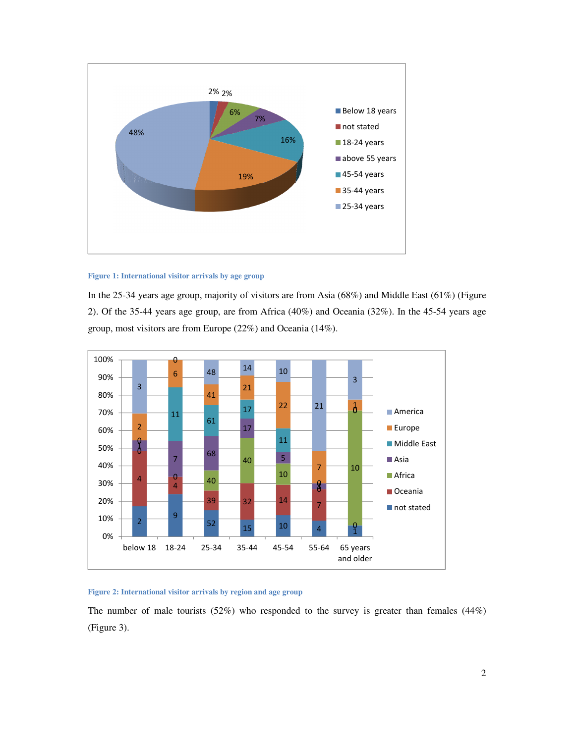

#### **Figure 1: International visitor arrivals by age group**

In the 25-34 years age group, majority of visitors are from Asia (68%) and Middle East (61%) (Figure 2). Of the 35-44 years age group, are from Africa (40%) and Oceania (32%). In the 45-54 years age group, most visitors are from Europe (22%) and Oceania (14%).



#### **Figure 2: International visitor arrivals by region and age group**

The number of male tourists  $(52%)$  who responded to the survey is greater than females  $(44%)$ (Figure 3).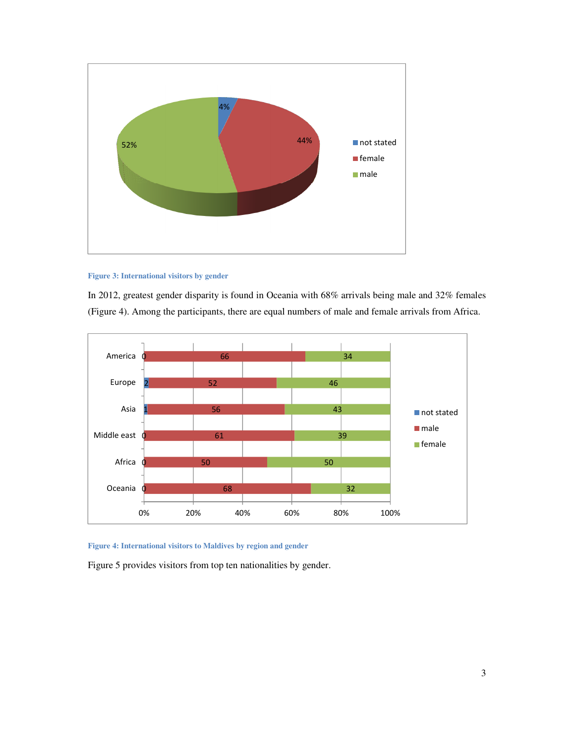

#### **Figure 3: International visitors by gender**

In 2012, greatest gender disparity is found in Oceania with 68% arrivals being male and 32% females (Figure 4). Among the participants, there are equal numbers of male and female arrivals from Africa.





Figure 5 provides visitors from top ten nationalities by gender.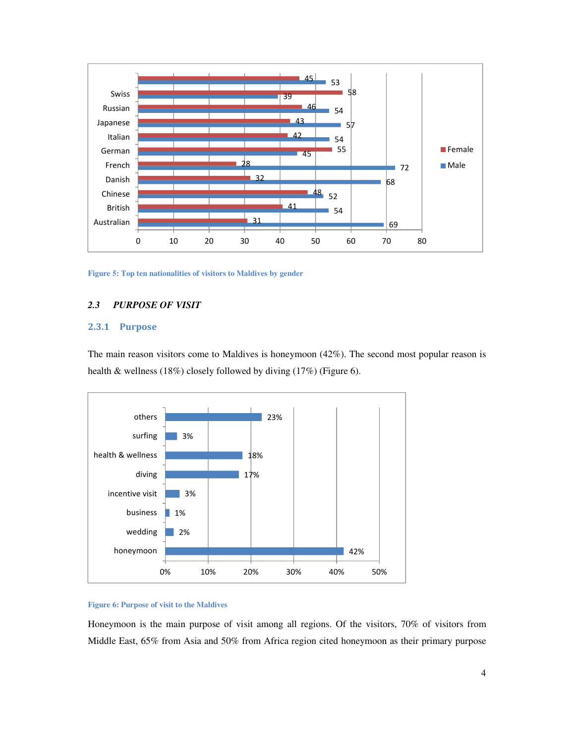

**Figure 5: Top ten nationalities of visitors to Maldives by gender** 

# *2.3 PURPOSE OF VISIT*

# 2.3.1 Purpose

The main reason visitors come to Maldives is honeymoon (42%). The second most popular reason is health & wellness (18%) closely followed by diving (17%) (Figure 6).



### **Figure 6: Purpose of visit to the Maldives**

Honeymoon is the main purpose of visit among all regions. Of the visitors, 70% of visitors from Middle East, 65% from Asia and 50% from Africa region cited honeymoon as their primary purpose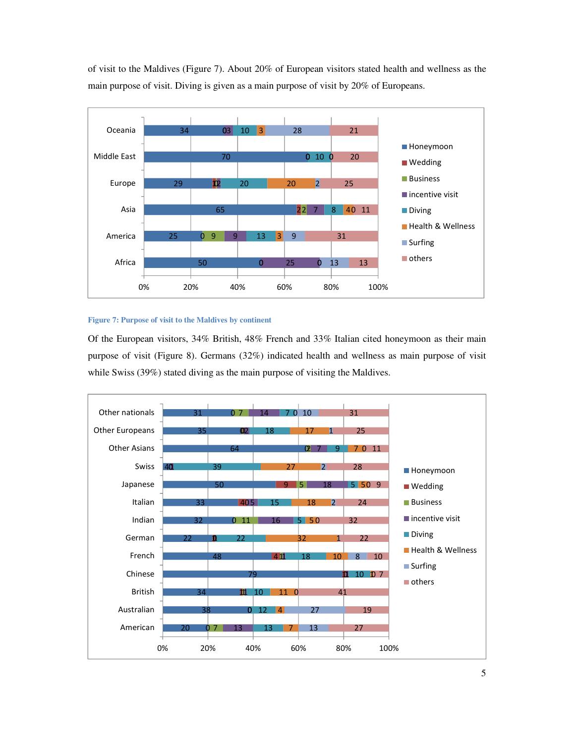of visit to the Maldives (Figure 7). About 20% of European visitors stated health and wellness as the main purpose of visit. Diving is given as a main purpose of visit by 20% of Europeans.



### **Figure 7: Purpose of visit to the Maldives by continent**

Of the European visitors, 34% British, 48% French and 33% Italian cited honeymoon as their main purpose of visit (Figure 8). Germans (32%) indicated health and wellness as main purpose of visit while Swiss (39%) stated diving as the main purpose of visiting the Maldives.

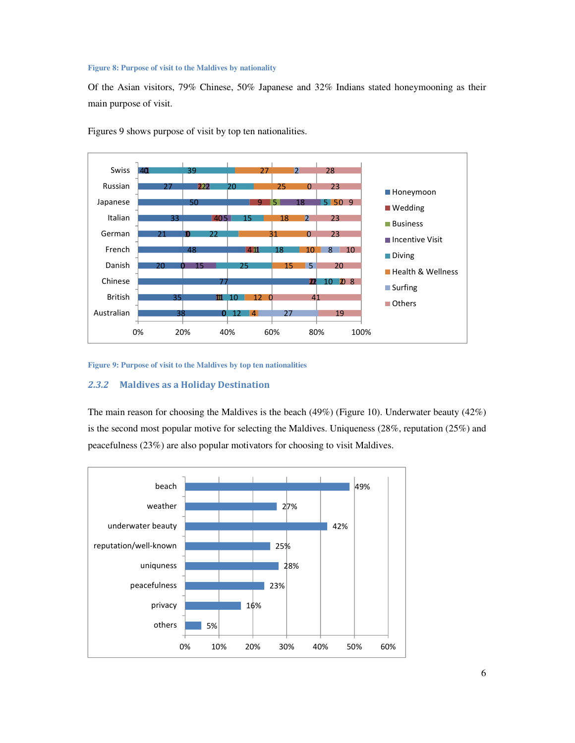#### **Figure 8: Purpose of visit to the Maldives by nationality**

Of the Asian visitors, 79% Chinese, 50% Japanese and 32% Indians stated honeymooning as their main purpose of visit.



Figures 9 shows purpose of visit by top ten nationalities.

**Figure 9: Purpose of visit to the Maldives by top ten nationalities** 

# 2.3.2 Maldives as a Holiday Destination

The main reason for choosing the Maldives is the beach (49%) (Figure 10). Underwater beauty (42%) is the second most popular motive for selecting the Maldives. Uniqueness (28%, reputation (25%) and peacefulness (23%) are also popular motivators for choosing to visit Maldives.

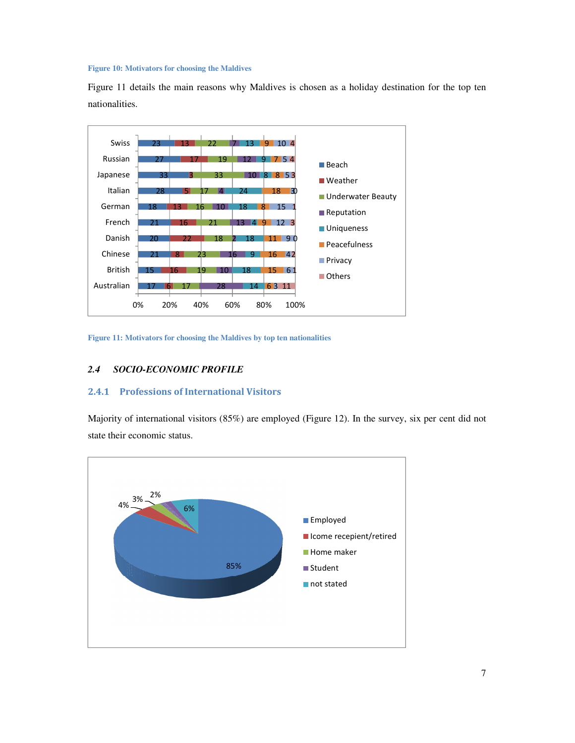**Figure 10: Motivators for choosing the Maldives** 

Figure 11 details the main reasons why Maldives is chosen as a holiday destination for the top ten nationalities.



**Figure 11: Motivators for choosing the Maldives by top ten nationalities** 

# *2.4 SOCIO-ECONOMIC PROFILE*

# 2.4.1 Professions of International Visitors

Majority of international visitors (85%) are employed (Figure 12). In the survey, six per cent did not state their economic status.

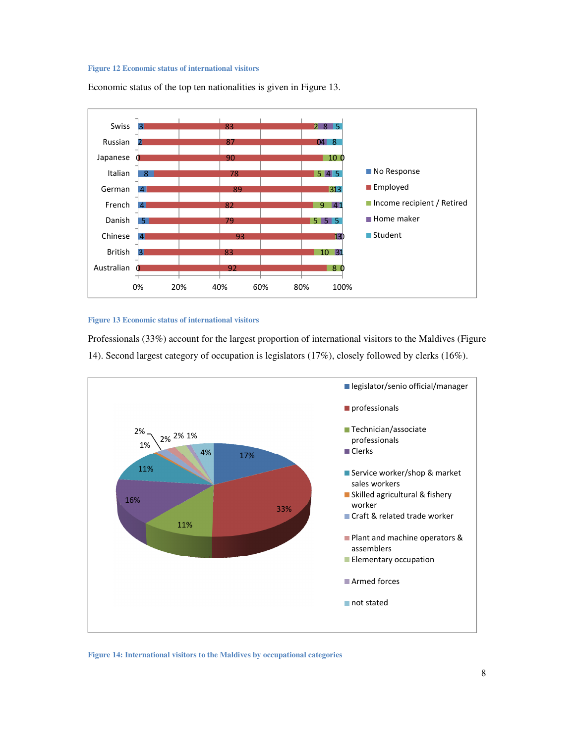#### **Figure 12 Economic status of international visitors**

Economic status of the top ten nationalities is given in Figure 13.



#### **Figure 13 Economic status of international visitors**

Professionals (33%) account for the largest proportion of international visitors to the Maldives (Figure 14). Second largest category of occupation is legislators (17%), closely followed by clerks (16%).



**Figure 14: International visitors to the Maldives by occupational categories**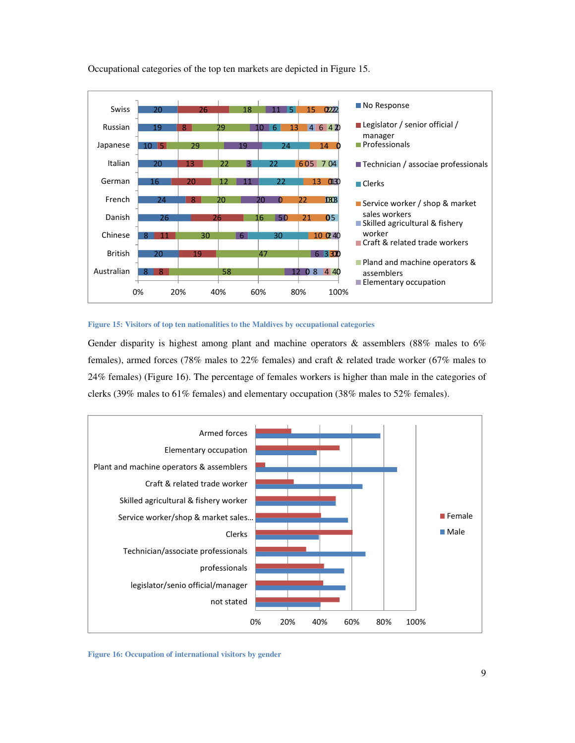

Occupational categories of the top ten markets are depicted in Figure 15.

#### **Figure 15: Visitors of top ten nationalities to the Maldives by occupational categories**

Gender disparity is highest among plant and machine operators  $\&$  assemblers (88% males to 6%) females), armed forces (78% males to 22% females) and craft & related trade worker (67% males to 24% females) (Figure 16). The percentage of females workers is higher than male in the categories of clerks (39% males to 61% females) and elementary occupation (38% males to 52% females).



**Figure 16: Occupation of international visitors by gender**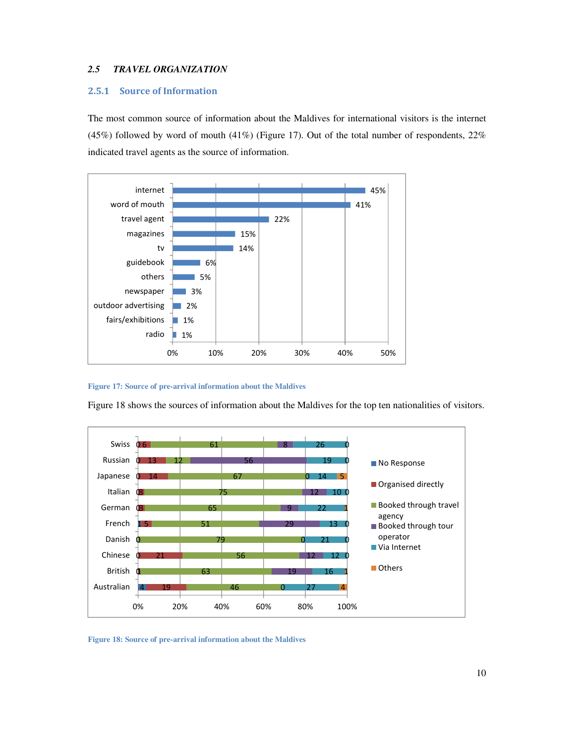# *2.5 TRAVEL ORGANIZATION*

#### 2.5.1 Source of Information

The most common source of information about the Maldives for international visitors is the internet (45%) followed by word of mouth (41%) (Figure 17). Out of the total number of respondents,  $22\%$ indicated travel agents as the source of information.



#### **Figure 17: Source of pre-arrival information about the Maldives**

Figure 18 shows the sources of information about the Maldives for the top ten nationalities of visitors.



**Figure 18: Source of pre-arrival information about the Maldives**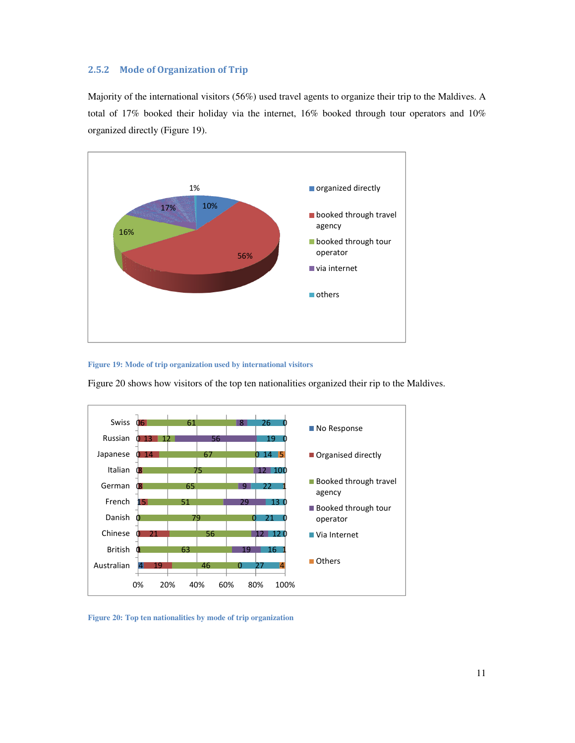## 2.5.2 Mode of Organization of Trip

Majority of the international visitors (56%) used travel agents to organize their trip to the Maldives. A total of 17% booked their holiday via the internet, 16% booked through tour operators and 10% organized directly (Figure 19).



**Figure 19: Mode of trip organization used by international visitors** 



Figure 20 shows how visitors of the top ten nationalities organized their rip to the Maldives.

**Figure 20: Top ten nationalities by mode of trip organization**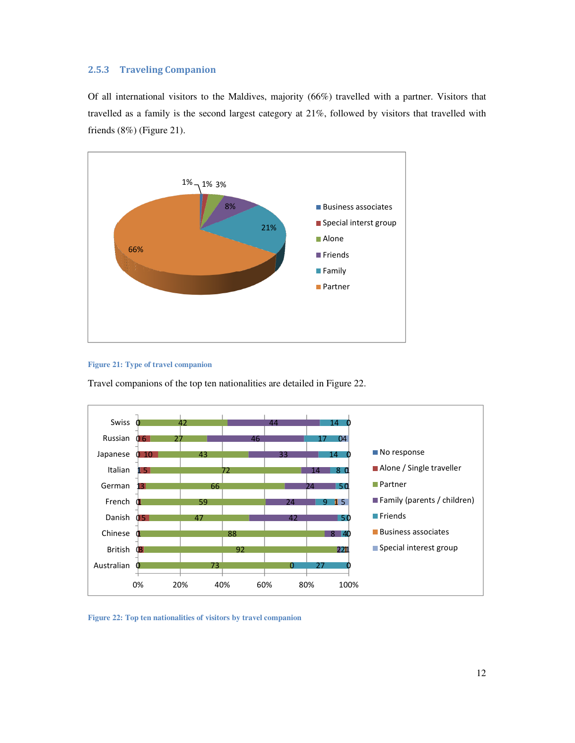# 2.5.3 Traveling Companion

Of all international visitors to the Maldives, majority (66%) travelled with a partner. Visitors that travelled as a family is the second largest category at 21%, followed by visitors that travelled with friends (8%) (Figure 21).





Travel companions of the top ten nationalities are detailed in Figure 22.



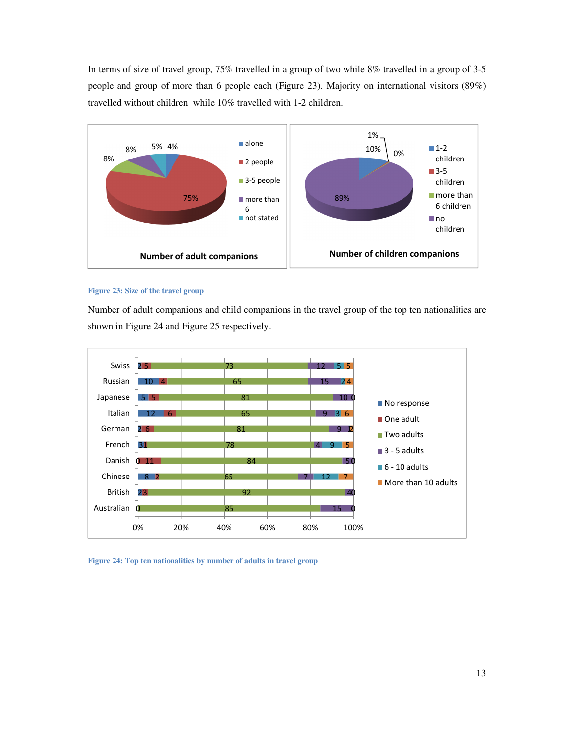In terms of size of travel group, 75% travelled in a group of two while 8% travelled in a group of 3-5 people and group of more than 6 people each (Figure 23). Majority on international visitors (89%) travelled without children while 10% travelled with 1-2 children.



#### **Figure 23: Size of the travel group**

Number of adult companions and child companions in the travel group of the top ten nationalities are shown in Figure 24 and Figure 25 respectively.



**Figure 24: Top ten nationalities by number of adults in travel group**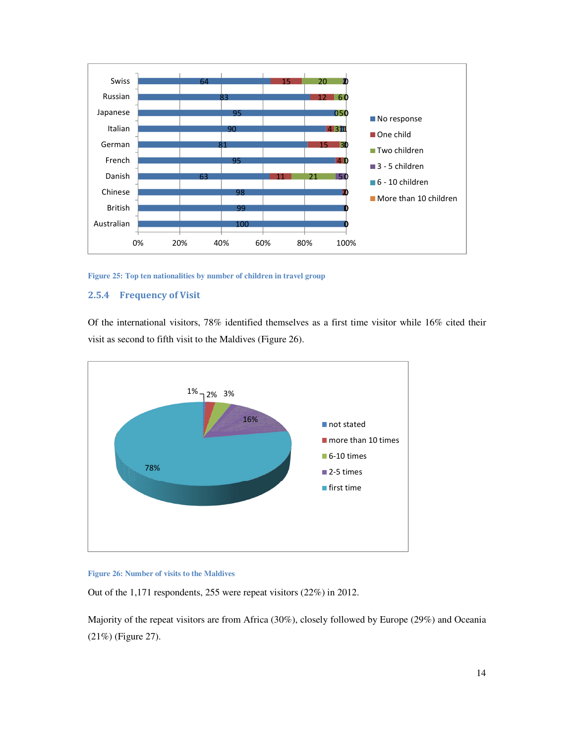

**Figure 25: Top ten nationalities by number of children in travel group** 

# 2.5.4 Frequency of Visit

Of the international visitors, 78% identified themselves as a first time visitor while 16% cited their visit as second to fifth visit to the Maldives (Figure 26).





Out of the 1,171 respondents, 255 were repeat visitors (22%) in 2012.

Majority of the repeat visitors are from Africa (30%), closely followed by Europe (29%) and Oceania (21%) (Figure 27).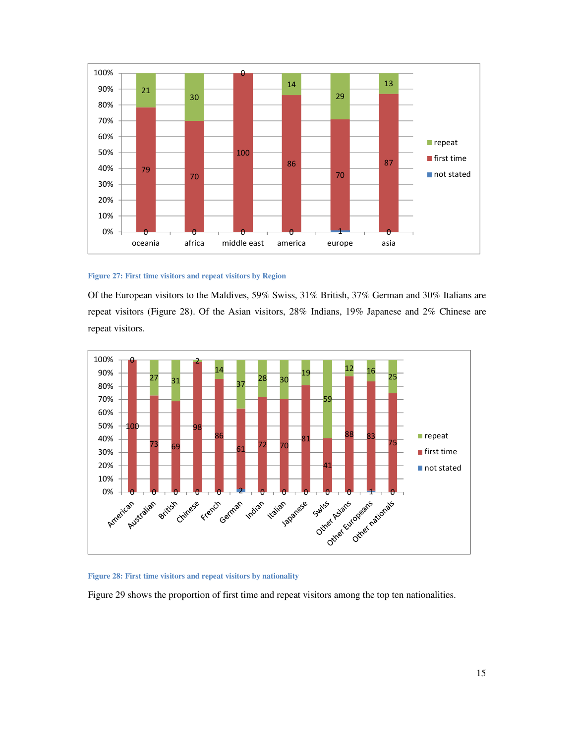

#### **Figure 27: First time visitors and repeat visitors by Region**

Of the European visitors to the Maldives, 59% Swiss, 31% British, 37% German and 30% Italians are repeat visitors (Figure 28). Of the Asian visitors, 28% Indians, 19% Japanese and 2% Chinese are repeat visitors.



#### **Figure 28: First time visitors and repeat visitors by nationality**

Figure 29 shows the proportion of first time and repeat visitors among the top ten nationalities.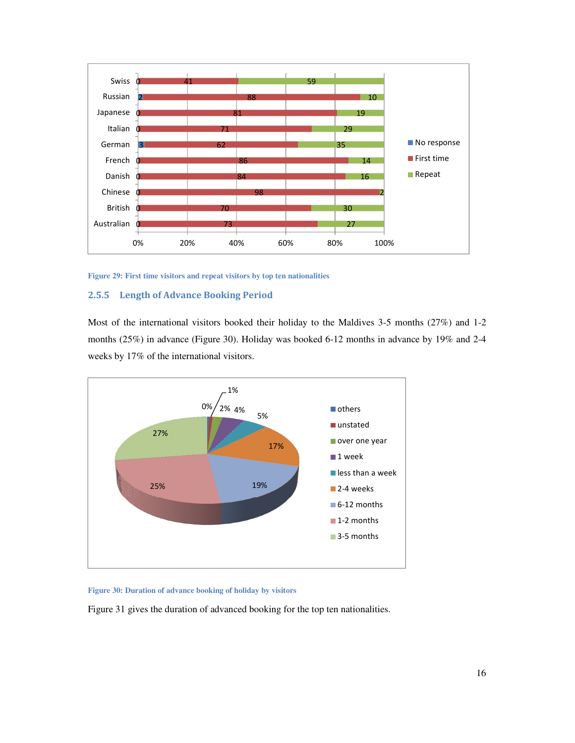



# 2.5.5 Length of Advance Booking Period

Most of the international visitors booked their holiday to the Maldives 3-5 months (27%) and 1-2 months (25%) in advance (Figure 30). Holiday was booked 6-12 months in advance by 19% and 2-4 weeks by 17% of the international visitors.



#### **Figure 30: Duration of advance booking of holiday by visitors**

Figure 31 gives the duration of advanced booking for the top ten nationalities.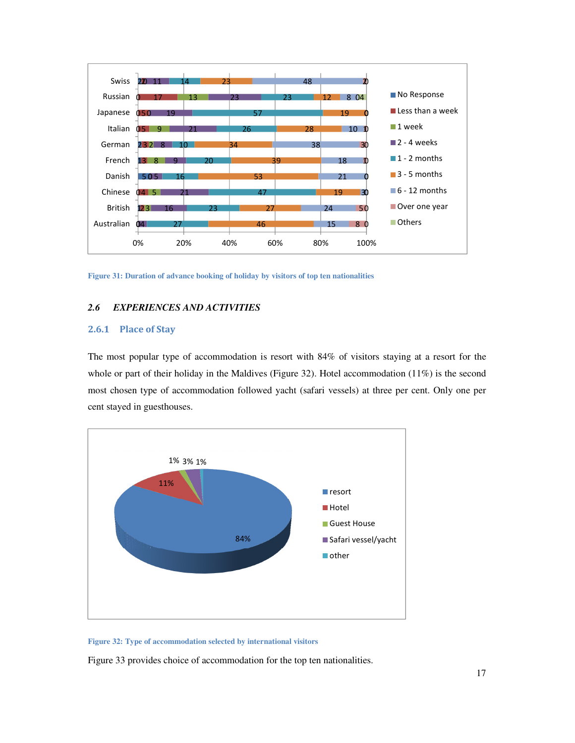

**Figure 31: Duration of advance booking of holiday by visitors of top ten nationalities** 

### *2.6 EXPERIENCES AND ACTIVITIES*

### 2.6.1 Place of Stay

The most popular type of accommodation is resort with 84% of visitors staying at a resort for the whole or part of their holiday in the Maldives (Figure 32). Hotel accommodation (11%) is the second most chosen type of accommodation followed yacht (safari vessels) at three per cent. Only one per cent stayed in guesthouses.



#### **Figure 32: Type of accommodation selected by international visitors**

Figure 33 provides choice of accommodation for the top ten nationalities.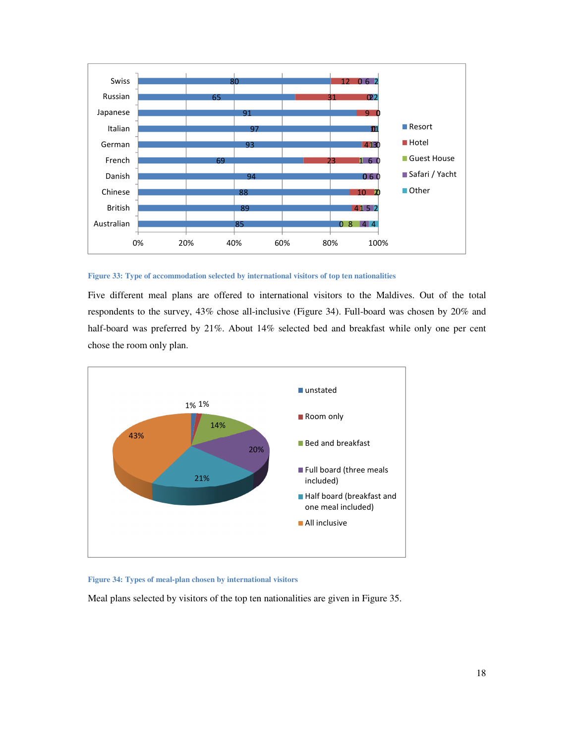

#### **Figure 33: Type of accommodation selected by international visitors of top ten nationalities**

Five different meal plans are offered to international visitors to the Maldives. Out of the total respondents to the survey, 43% chose all-inclusive (Figure 34). Full-board was chosen by 20% and half-board was preferred by 21%. About 14% selected bed and breakfast while only one per cent chose the room only plan.



#### **Figure 34: Types of meal-plan chosen by international visitors**

Meal plans selected by visitors of the top ten nationalities are given in Figure 35.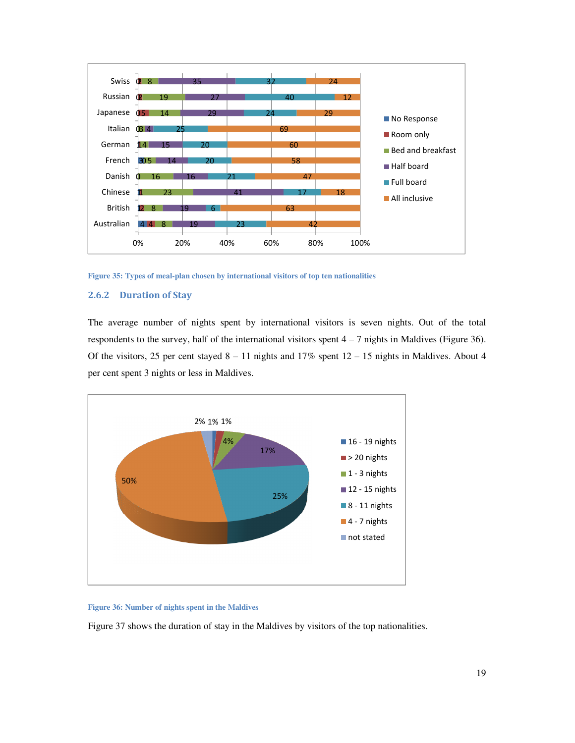

**Figure 35: Types of meal-plan chosen by international visitors of top ten nationalities** 

### 2.6.2 Duration of Stay

The average number of nights spent by international visitors is seven nights. Out of the total respondents to the survey, half of the international visitors spent 4 – 7 nights in Maldives (Figure 36). Of the visitors, 25 per cent stayed  $8 - 11$  nights and  $17\%$  spent  $12 - 15$  nights in Maldives. About 4 per cent spent 3 nights or less in Maldives.



**Figure 36: Number of nights spent in the Maldives** 

Figure 37 shows the duration of stay in the Maldives by visitors of the top nationalities.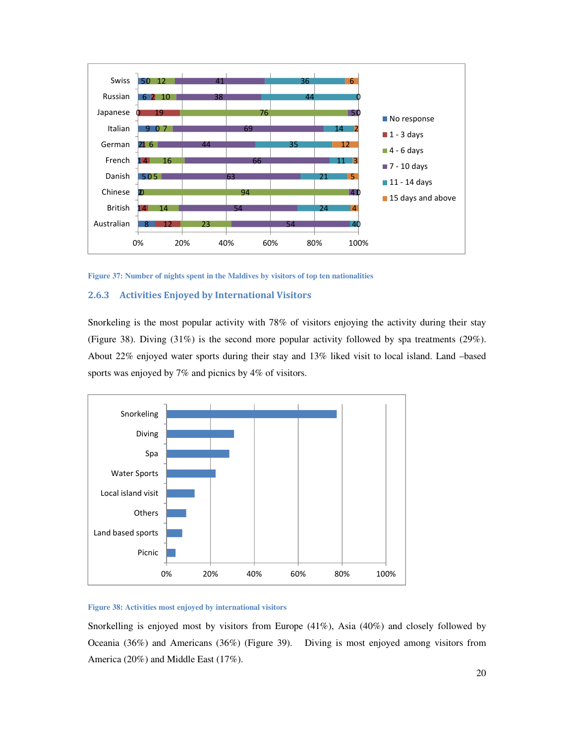

**Figure 37: Number of nights spent in the Maldives by visitors of top ten nationalities** 

# 2.6.3 Activities Enjoyed by International Visitors

Snorkeling is the most popular activity with 78% of visitors enjoying the activity during their stay (Figure 38). Diving (31%) is the second more popular activity followed by spa treatments (29%). About 22% enjoyed water sports during their stay and 13% liked visit to local island. Land –based sports was enjoyed by 7% and picnics by 4% of visitors.



#### **Figure 38: Activities most enjoyed by international visitors**

Snorkelling is enjoyed most by visitors from Europe (41%), Asia (40%) and closely followed by Oceania (36%) and Americans (36%) (Figure 39). Diving is most enjoyed among visitors from America (20%) and Middle East (17%).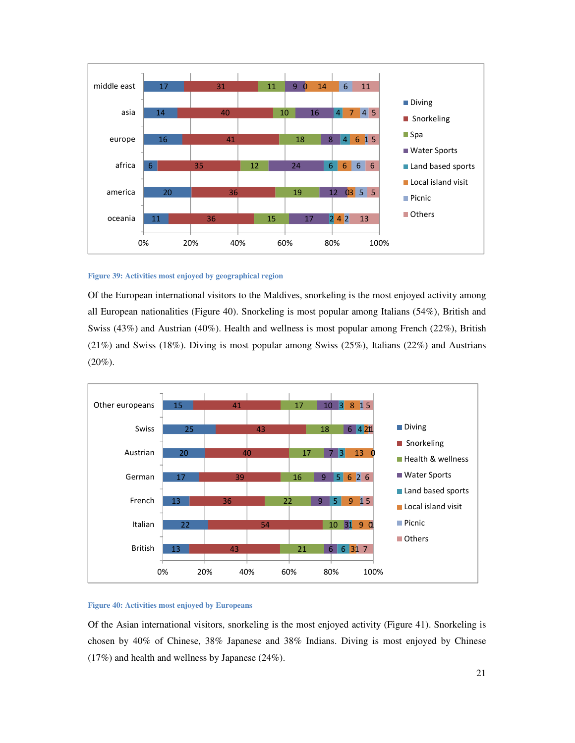

#### **Figure 39: Activities most enjoyed by geographical region**

Of the European international visitors to the Maldives, snorkeling is the most enjoyed activity among all European nationalities (Figure 40). Snorkeling is most popular among Italians (54%), British and Swiss (43%) and Austrian (40%). Health and wellness is most popular among French (22%), British (21%) and Swiss (18%). Diving is most popular among Swiss (25%), Italians (22%) and Austrians  $(20\%).$ 



#### **Figure 40: Activities most enjoyed by Europeans**

Of the Asian international visitors, snorkeling is the most enjoyed activity (Figure 41). Snorkeling is chosen by 40% of Chinese, 38% Japanese and 38% Indians. Diving is most enjoyed by Chinese (17%) and health and wellness by Japanese (24%).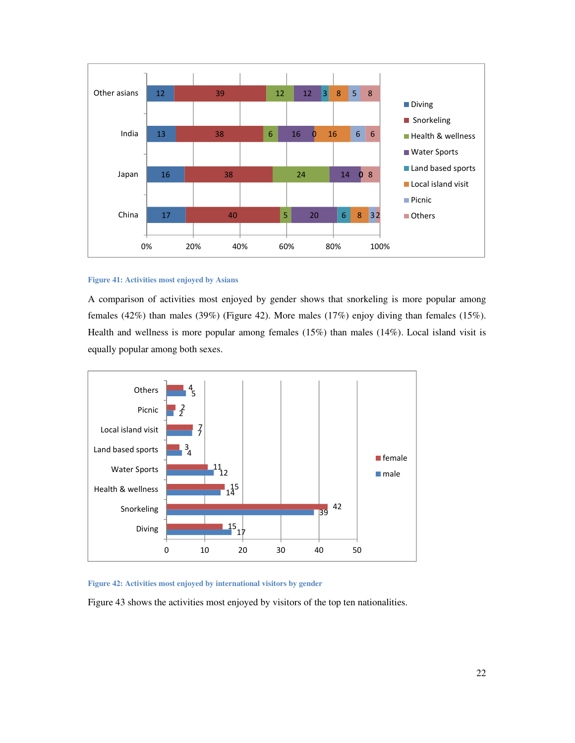

#### **Figure 41: Activities most enjoyed by Asians**

A comparison of activities most enjoyed by gender shows that snorkeling is more popular among females (42%) than males (39%) (Figure 42). More males (17%) enjoy diving than females (15%). Health and wellness is more popular among females (15%) than males (14%). Local island visit is equally popular among both sexes.



#### **Figure 42: Activities most enjoyed by international visitors by gender**

Figure 43 shows the activities most enjoyed by visitors of the top ten nationalities.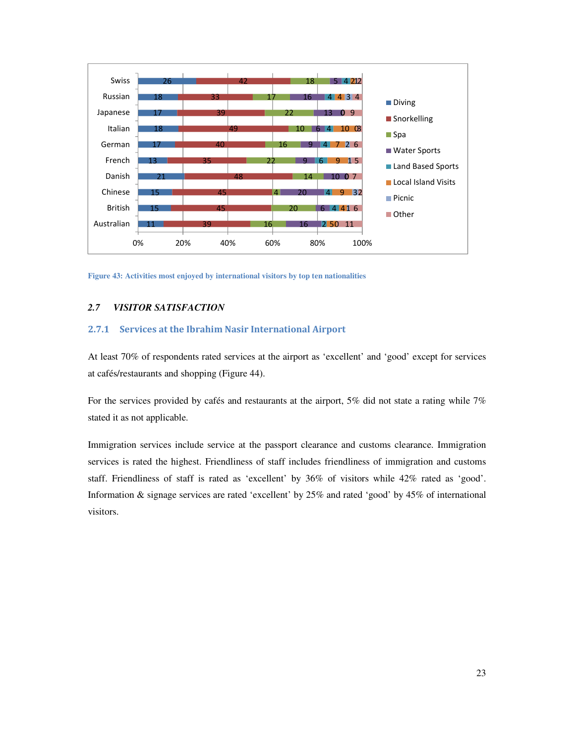

**Figure 43: Activities most enjoyed by international visitors by top ten nationalities** 

# *2.7 VISITOR SATISFACTION*

# 2.7.1 Services at the Ibrahim Nasir International Airport

At least 70% of respondents rated services at the airport as 'excellent' and 'good' except for services at cafés/restaurants and shopping (Figure 44).

For the services provided by cafés and restaurants at the airport, 5% did not state a rating while 7% stated it as not applicable.

Immigration services include service at the passport clearance and customs clearance. Immigration services is rated the highest. Friendliness of staff includes friendliness of immigration and customs staff. Friendliness of staff is rated as 'excellent' by 36% of visitors while 42% rated as 'good'. Information & signage services are rated 'excellent' by 25% and rated 'good' by 45% of international visitors.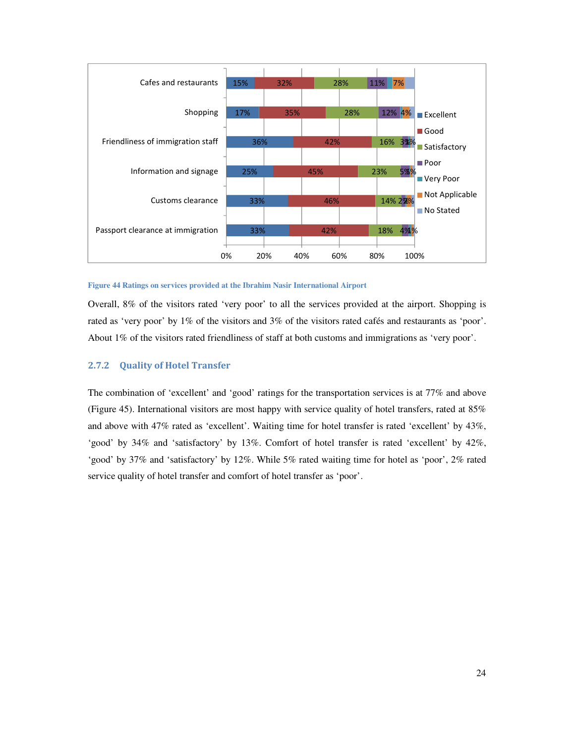

#### **Figure 44 Ratings on services provided at the Ibrahim Nasir International Airport**

Overall, 8% of the visitors rated 'very poor' to all the services provided at the airport. Shopping is rated as 'very poor' by 1% of the visitors and 3% of the visitors rated cafés and restaurants as 'poor'. About 1% of the visitors rated friendliness of staff at both customs and immigrations as 'very poor'.

# 2.7.2 Quality of Hotel Transfer

The combination of 'excellent' and 'good' ratings for the transportation services is at 77% and above (Figure 45). International visitors are most happy with service quality of hotel transfers, rated at 85% and above with 47% rated as 'excellent'. Waiting time for hotel transfer is rated 'excellent' by 43%, 'good' by 34% and 'satisfactory' by 13%. Comfort of hotel transfer is rated 'excellent' by 42%, 'good' by 37% and 'satisfactory' by 12%. While 5% rated waiting time for hotel as 'poor', 2% rated service quality of hotel transfer and comfort of hotel transfer as 'poor'.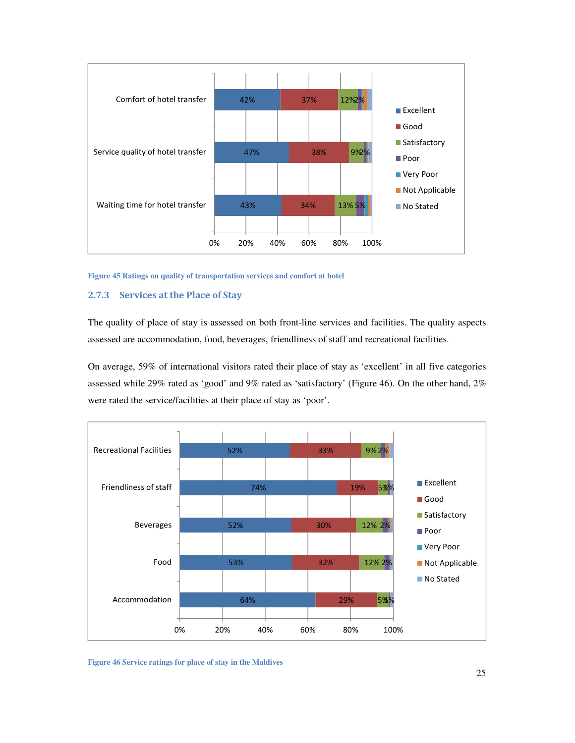

**Figure 45 Ratings on quality of transportation services and comfort at hotel** 

### 2.7.3 Services at the Place of Stay

The quality of place of stay is assessed on both front-line services and facilities. The quality aspects assessed are accommodation, food, beverages, friendliness of staff and recreational facilities.

On average, 59% of international visitors rated their place of stay as 'excellent' in all five categories assessed while 29% rated as 'good' and 9% rated as 'satisfactory' (Figure 46). On the other hand, 2% were rated the service/facilities at their place of stay as 'poor'.



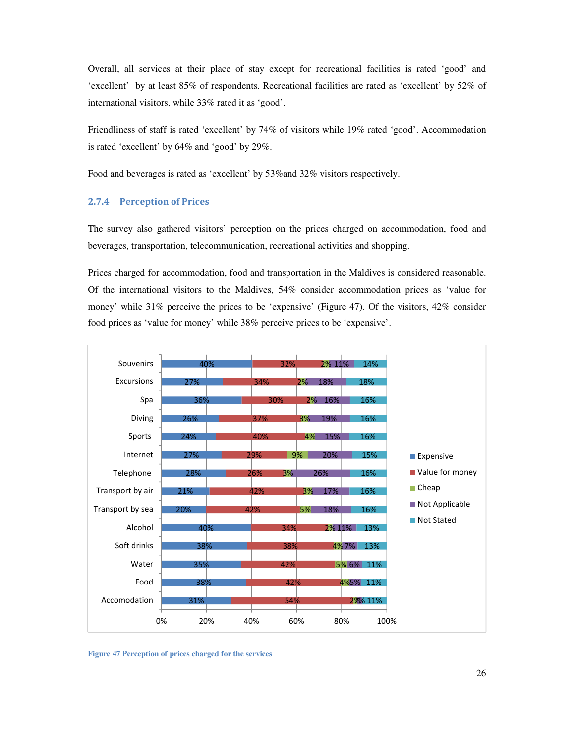Overall, all services at their place of stay except for recreational facilities is rated 'good' and 'excellent' by at least 85% of respondents. Recreational facilities are rated as 'excellent' by 52% of international visitors, while 33% rated it as 'good'.

Friendliness of staff is rated 'excellent' by 74% of visitors while 19% rated 'good'. Accommodation is rated 'excellent' by 64% and 'good' by 29%.

Food and beverages is rated as 'excellent' by 53%and 32% visitors respectively.

# 2.7.4 Perception of Prices

The survey also gathered visitors' perception on the prices charged on accommodation, food and beverages, transportation, telecommunication, recreational activities and shopping.

Prices charged for accommodation, food and transportation in the Maldives is considered reasonable. Of the international visitors to the Maldives, 54% consider accommodation prices as 'value for money' while 31% perceive the prices to be 'expensive' (Figure 47). Of the visitors, 42% consider food prices as 'value for money' while 38% perceive prices to be 'expensive'.



**Figure 47 Perception of prices charged for the services**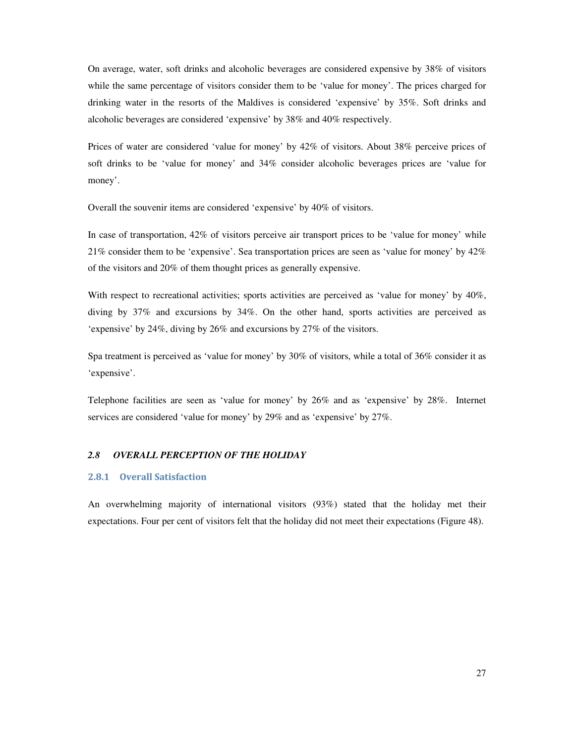On average, water, soft drinks and alcoholic beverages are considered expensive by 38% of visitors while the same percentage of visitors consider them to be 'value for money'. The prices charged for drinking water in the resorts of the Maldives is considered 'expensive' by 35%. Soft drinks and alcoholic beverages are considered 'expensive' by 38% and 40% respectively.

Prices of water are considered 'value for money' by 42% of visitors. About 38% perceive prices of soft drinks to be 'value for money' and 34% consider alcoholic beverages prices are 'value for money'.

Overall the souvenir items are considered 'expensive' by 40% of visitors.

In case of transportation, 42% of visitors perceive air transport prices to be 'value for money' while 21% consider them to be 'expensive'. Sea transportation prices are seen as 'value for money' by 42% of the visitors and 20% of them thought prices as generally expensive.

With respect to recreational activities; sports activities are perceived as 'value for money' by 40%, diving by 37% and excursions by 34%. On the other hand, sports activities are perceived as 'expensive' by 24%, diving by 26% and excursions by 27% of the visitors.

Spa treatment is perceived as 'value for money' by 30% of visitors, while a total of 36% consider it as 'expensive'.

Telephone facilities are seen as 'value for money' by 26% and as 'expensive' by 28%. Internet services are considered 'value for money' by 29% and as 'expensive' by 27%.

## *2.8 OVERALL PERCEPTION OF THE HOLIDAY*

### 2.8.1 Overall Satisfaction

An overwhelming majority of international visitors (93%) stated that the holiday met their expectations. Four per cent of visitors felt that the holiday did not meet their expectations (Figure 48).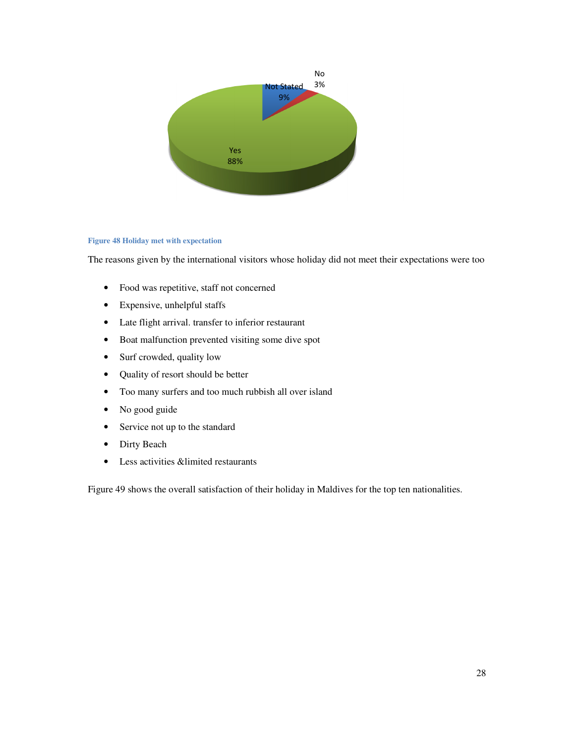

#### **Figure 48 Holiday met with expectation**

The reasons given by the international visitors whose holiday did not meet their expectations were too

- Food was repetitive, staff not concerned
- Expensive, unhelpful staffs
- Late flight arrival. transfer to inferior restaurant
- Boat malfunction prevented visiting some dive spot
- Surf crowded, quality low
- Quality of resort should be better
- Too many surfers and too much rubbish all over island
- No good guide
- Service not up to the standard
- Dirty Beach
- Less activities &limited restaurants

Figure 49 shows the overall satisfaction of their holiday in Maldives for the top ten nationalities.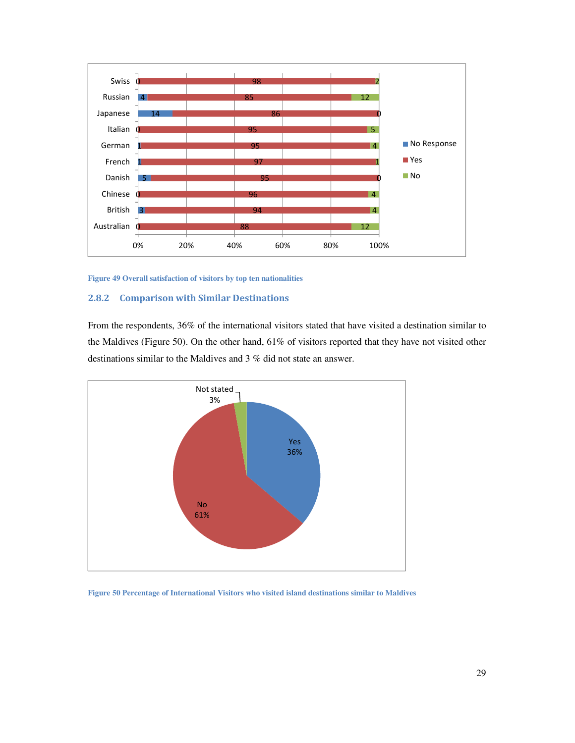

**Figure 49 Overall satisfaction of visitors by top ten nationalities** 

#### 2.8.2 Comparison with Similar Destinations

From the respondents, 36% of the international visitors stated that have visited a destination similar to the Maldives (Figure 50). On the other hand, 61% of visitors reported that they have not visited other destinations similar to the Maldives and 3 % did not state an answer.



**Figure 50 Percentage of International Visitors who visited island destinations similar to Maldives**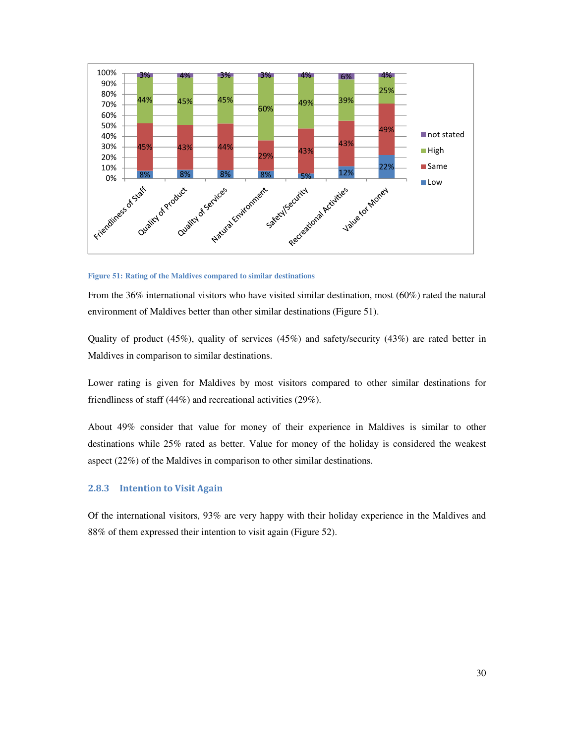

**Figure 51: Rating of the Maldives compared to similar destinations** 

From the 36% international visitors who have visited similar destination, most (60%) rated the natural environment of Maldives better than other similar destinations (Figure 51).

Quality of product  $(45\%)$ , quality of services  $(45\%)$  and safety/security  $(43\%)$  are rated better in Maldives in comparison to similar destinations.

Lower rating is given for Maldives by most visitors compared to other similar destinations for friendliness of staff (44%) and recreational activities (29%).

About 49% consider that value for money of their experience in Maldives is similar to other destinations while 25% rated as better. Value for money of the holiday is considered the weakest aspect (22%) of the Maldives in comparison to other similar destinations.

# 2.8.3 Intention to Visit Again

Of the international visitors, 93% are very happy with their holiday experience in the Maldives and 88% of them expressed their intention to visit again (Figure 52).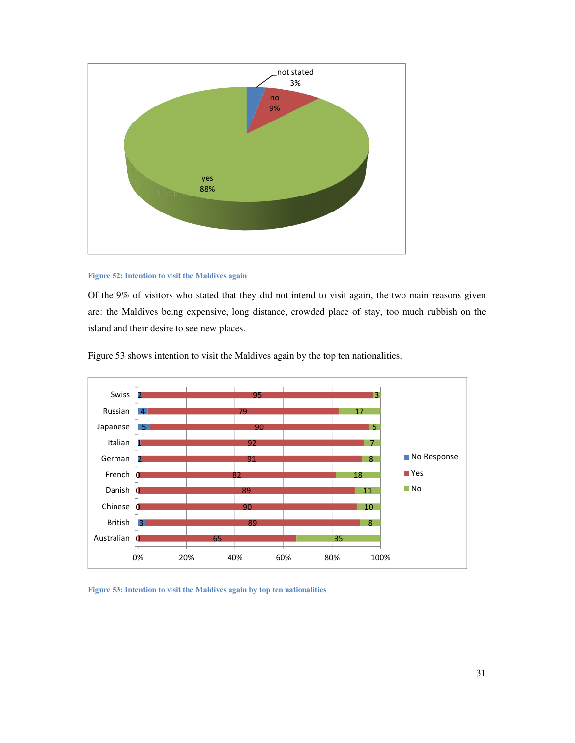

#### **Figure 52: Intention to visit the Maldives again**

Of the 9% of visitors who stated that they did not intend to visit again, the two main reasons given are: the Maldives being expensive, long distance, crowded place of stay, too much rubbish on the island and their desire to see new places.



Figure 53 shows intention to visit the Maldives again by the top ten nationalities.

**Figure 53: Intention to visit the Maldives again by top ten nationalities**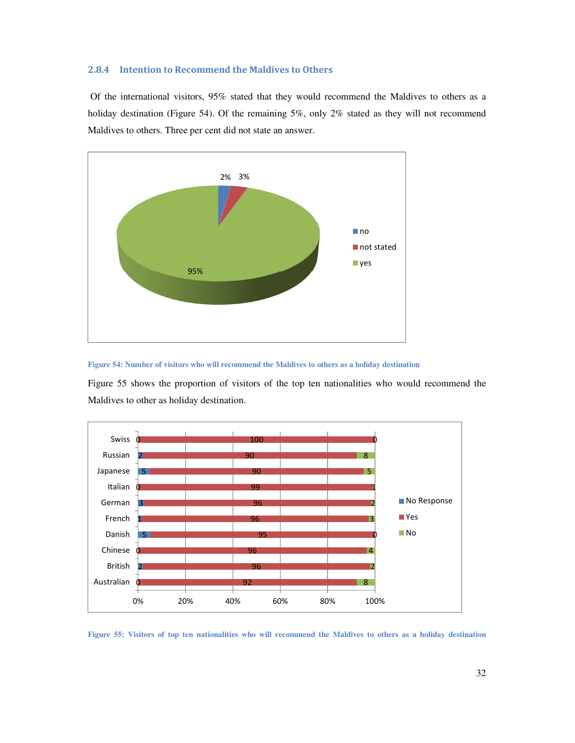# 2.8.4 Intention to Recommend the Maldives to Others

 Of the international visitors, 95% stated that they would recommend the Maldives to others as a holiday destination (Figure 54). Of the remaining 5%, only 2% stated as they will not recommend Maldives to others. Three per cent did not state an answer.



**Figure 54: Number of visitors who will recommend the Maldives to others as a holiday destination** 

Figure 55 shows the proportion of visitors of the top ten nationalities who would recommend the Maldives to other as holiday destination.



**Figure 55: Visitors of top ten nationalities who will recommend the Maldives to others as a holiday destination**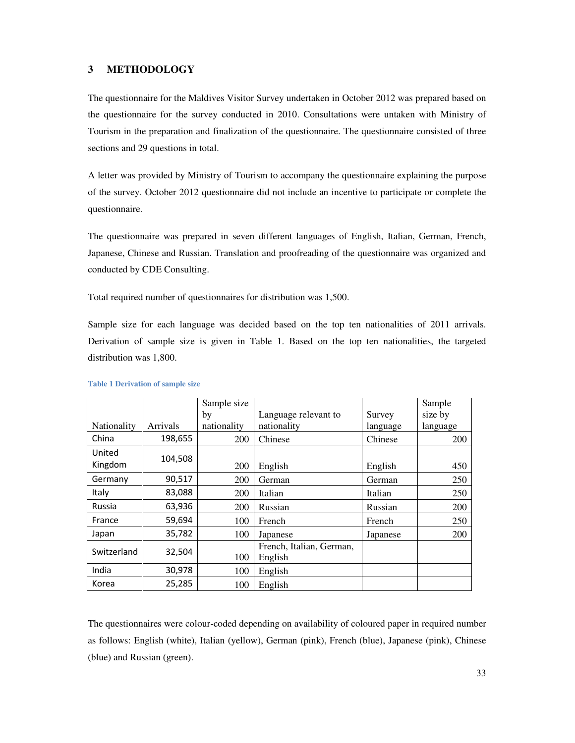# **3 METHODOLOGY**

The questionnaire for the Maldives Visitor Survey undertaken in October 2012 was prepared based on the questionnaire for the survey conducted in 2010. Consultations were untaken with Ministry of Tourism in the preparation and finalization of the questionnaire. The questionnaire consisted of three sections and 29 questions in total.

A letter was provided by Ministry of Tourism to accompany the questionnaire explaining the purpose of the survey. October 2012 questionnaire did not include an incentive to participate or complete the questionnaire.

The questionnaire was prepared in seven different languages of English, Italian, German, French, Japanese, Chinese and Russian. Translation and proofreading of the questionnaire was organized and conducted by CDE Consulting.

Total required number of questionnaires for distribution was 1,500.

Sample size for each language was decided based on the top ten nationalities of 2011 arrivals. Derivation of sample size is given in Table 1. Based on the top ten nationalities, the targeted distribution was 1,800.

|             |          | Sample size |                          |          | Sample   |
|-------------|----------|-------------|--------------------------|----------|----------|
|             |          | by          | Language relevant to     | Survey   | size by  |
| Nationality | Arrivals | nationality | nationality              | language | language |
| China       | 198,655  | 200         | Chinese                  | Chinese  | 200      |
| United      | 104,508  |             |                          |          |          |
| Kingdom     |          | 200         | English                  | English  | 450      |
| Germany     | 90,517   | 200         | German                   | German   | 250      |
| Italy       | 83,088   | 200         | Italian                  | Italian  | 250      |
| Russia      | 63,936   | 200         | Russian                  | Russian  | 200      |
| France      | 59,694   | 100         | French                   | French   | 250      |
| Japan       | 35,782   | 100         | Japanese                 | Japanese | 200      |
| Switzerland | 32,504   |             | French, Italian, German, |          |          |
|             |          | 100         | English                  |          |          |
| India       | 30,978   | 100         | English                  |          |          |
| Korea       | 25,285   | 100         | English                  |          |          |

#### **Table 1 Derivation of sample size**

The questionnaires were colour-coded depending on availability of coloured paper in required number as follows: English (white), Italian (yellow), German (pink), French (blue), Japanese (pink), Chinese (blue) and Russian (green).